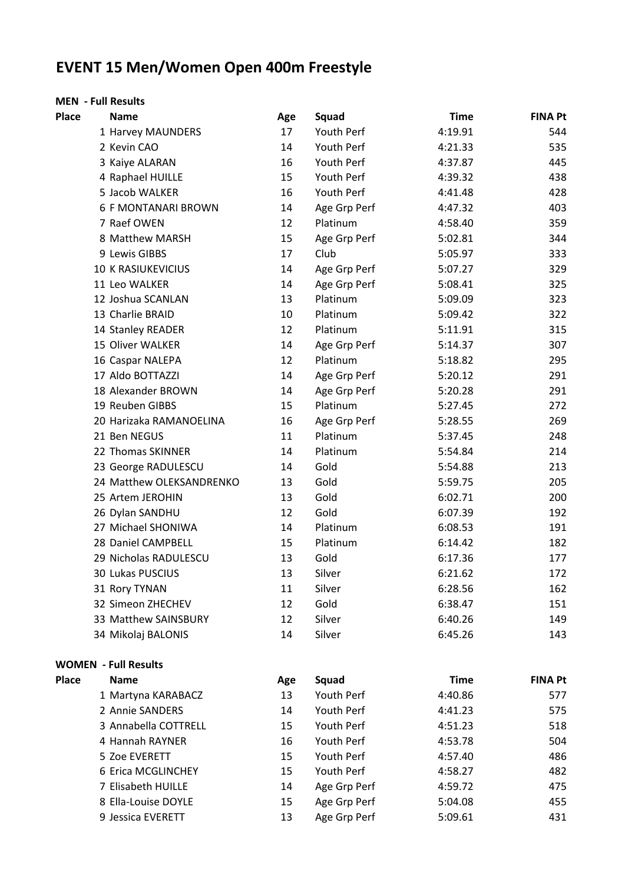## **EVENT 15 Men/Women Open 400m Freestyle**

## **MEN - Full Results**

| <b>Place</b> | <b>Name</b>                 | Age | Squad        | <b>Time</b> | <b>FINA Pt</b> |
|--------------|-----------------------------|-----|--------------|-------------|----------------|
|              | 1 Harvey MAUNDERS           | 17  | Youth Perf   | 4:19.91     | 544            |
|              | 2 Kevin CAO                 | 14  | Youth Perf   | 4:21.33     | 535            |
|              | 3 Kaiye ALARAN              | 16  | Youth Perf   | 4:37.87     | 445            |
|              | 4 Raphael HUILLE            | 15  | Youth Perf   | 4:39.32     | 438            |
|              | 5 Jacob WALKER              | 16  | Youth Perf   | 4:41.48     | 428            |
|              | <b>6 F MONTANARI BROWN</b>  | 14  | Age Grp Perf | 4:47.32     | 403            |
|              | 7 Raef OWEN                 | 12  | Platinum     | 4:58.40     | 359            |
|              | 8 Matthew MARSH             | 15  | Age Grp Perf | 5:02.81     | 344            |
|              | 9 Lewis GIBBS               | 17  | Club         | 5:05.97     | 333            |
|              | <b>10 K RASIUKEVICIUS</b>   | 14  | Age Grp Perf | 5:07.27     | 329            |
|              | 11 Leo WALKER               | 14  | Age Grp Perf | 5:08.41     | 325            |
|              | 12 Joshua SCANLAN           | 13  | Platinum     | 5:09.09     | 323            |
|              | 13 Charlie BRAID            | 10  | Platinum     | 5:09.42     | 322            |
|              | 14 Stanley READER           | 12  | Platinum     | 5:11.91     | 315            |
|              | 15 Oliver WALKER            | 14  | Age Grp Perf | 5:14.37     | 307            |
|              | 16 Caspar NALEPA            | 12  | Platinum     | 5:18.82     | 295            |
|              | 17 Aldo BOTTAZZI            | 14  | Age Grp Perf | 5:20.12     | 291            |
|              | 18 Alexander BROWN          | 14  | Age Grp Perf | 5:20.28     | 291            |
|              | 19 Reuben GIBBS             | 15  | Platinum     | 5:27.45     | 272            |
|              | 20 Harizaka RAMANOELINA     | 16  | Age Grp Perf | 5:28.55     | 269            |
|              | 21 Ben NEGUS                | 11  | Platinum     | 5:37.45     | 248            |
|              | 22 Thomas SKINNER           | 14  | Platinum     | 5:54.84     | 214            |
|              | 23 George RADULESCU         | 14  | Gold         | 5:54.88     | 213            |
|              | 24 Matthew OLEKSANDRENKO    | 13  | Gold         | 5:59.75     | 205            |
|              | 25 Artem JEROHIN            | 13  | Gold         | 6:02.71     | 200            |
|              | 26 Dylan SANDHU             | 12  | Gold         | 6:07.39     | 192            |
|              | 27 Michael SHONIWA          | 14  | Platinum     | 6:08.53     | 191            |
|              | 28 Daniel CAMPBELL          | 15  | Platinum     | 6:14.42     | 182            |
|              | 29 Nicholas RADULESCU       | 13  | Gold         | 6:17.36     | 177            |
|              | 30 Lukas PUSCIUS            | 13  | Silver       | 6:21.62     | 172            |
|              | 31 Rory TYNAN               | 11  | Silver       | 6:28.56     | 162            |
|              | 32 Simeon ZHECHEV           | 12  | Gold         | 6:38.47     | 151            |
|              | 33 Matthew SAINSBURY        | 12  | Silver       | 6:40.26     | 149            |
|              | 34 Mikolaj BALONIS          | 14  | Silver       | 6:45.26     | 143            |
|              | <b>WOMEN - Full Results</b> |     |              |             |                |
| <b>Place</b> | <b>Name</b>                 | Age | Squad        | <b>Time</b> | <b>FINA Pt</b> |
|              | 1 Martyna KARABACZ          | 13  | Youth Perf   | 4:40.86     | 577            |
|              | 2 Annie SANDERS             | 14  | Youth Perf   | 4:41.23     | 575            |
|              | 3 Annabella COTTRELL        | 15  | Youth Perf   | 4:51.23     | 518            |
|              | 4 Hannah RAYNER             | 16  | Youth Perf   | 4:53.78     | 504            |
|              | 5 Zoe EVERETT               | 15  | Youth Perf   | 4:57.40     | 486            |
|              | 6 Erica MCGLINCHEY          | 15  | Youth Perf   | 4:58.27     | 482            |
|              | 7 Elisabeth HUILLE          | 14  | Age Grp Perf | 4:59.72     | 475            |
|              | 8 Ella-Louise DOYLE         | 15  | Age Grp Perf | 5:04.08     | 455            |
|              | 9 Jessica EVERETT           | 13  | Age Grp Perf | 5:09.61     | 431            |